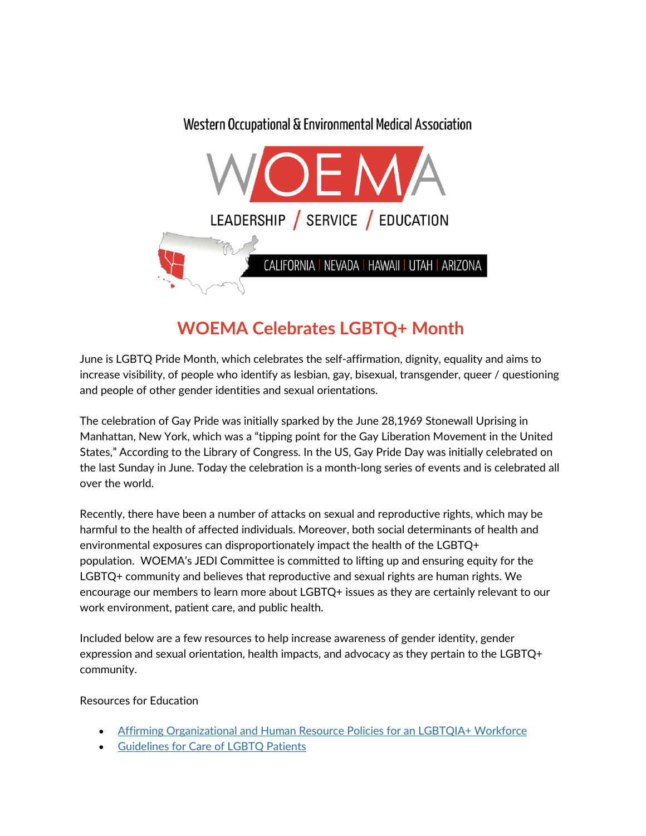## Western Occupational & Environmental Medical Association LEADERSHIP / SERVICE / EDUCATION CALIFORNIA | NEVADA | HAWAII | UTAH | ARIZONA

## **WOEMA Celebrates LGBTQ+ Month**

June is LGBTQ Pride Month, which celebrates the self-affirmation, dignity, equality and aims to increase visibility, of people who identify as lesbian, gay, bisexual, transgender, queer / questioning and people of other gender identities and sexual orientations.

The celebration of Gay Pride was initially sparked by the June 28,1969 Stonewall Uprising in Manhattan, New York, which was a "tipping point for the Gay Liberation Movement in the United States," According to the Library of Congress. In the US, Gay Pride Day was initially celebrated on the last Sunday in June. Today the celebration is a month-long series of events and is celebrated all over the world.

Recently, there have been a number of attacks on sexual and reproductive rights, which may be harmful to the health of affected individuals. Moreover, both social determinants of health and environmental exposures can disproportionately impact the health of the LGBTQ+ population. WOEMA's JEDI Committee is committed to lifting up and ensuring equity for the LGBTQ+ community and believes that reproductive and sexual rights are human rights. We encourage our members to learn more about LGBTQ+ issues as they are certainly relevant to our work environment, patient care, and public health.

Included below are a few resources to help increase awareness of gender identity, gender expression and sexual orientation, health impacts, and advocacy as they pertain to the LGBTQ+ community.

## Resources for Education

- [Affirming Organizational and Human Resource Policies for an LGBTQIA+ Workforce](https://www.lgbtqiahealtheducation.org/publication/affirming-organizational-and-human-resource-policies-for-an-lgbtqia-workforce/)
- [Guidelines for Care of LGBTQ Patients](https://npin.cdc.gov/publication/guidelines-care-lesbian-gay-bisexual-and-transgender-patients)